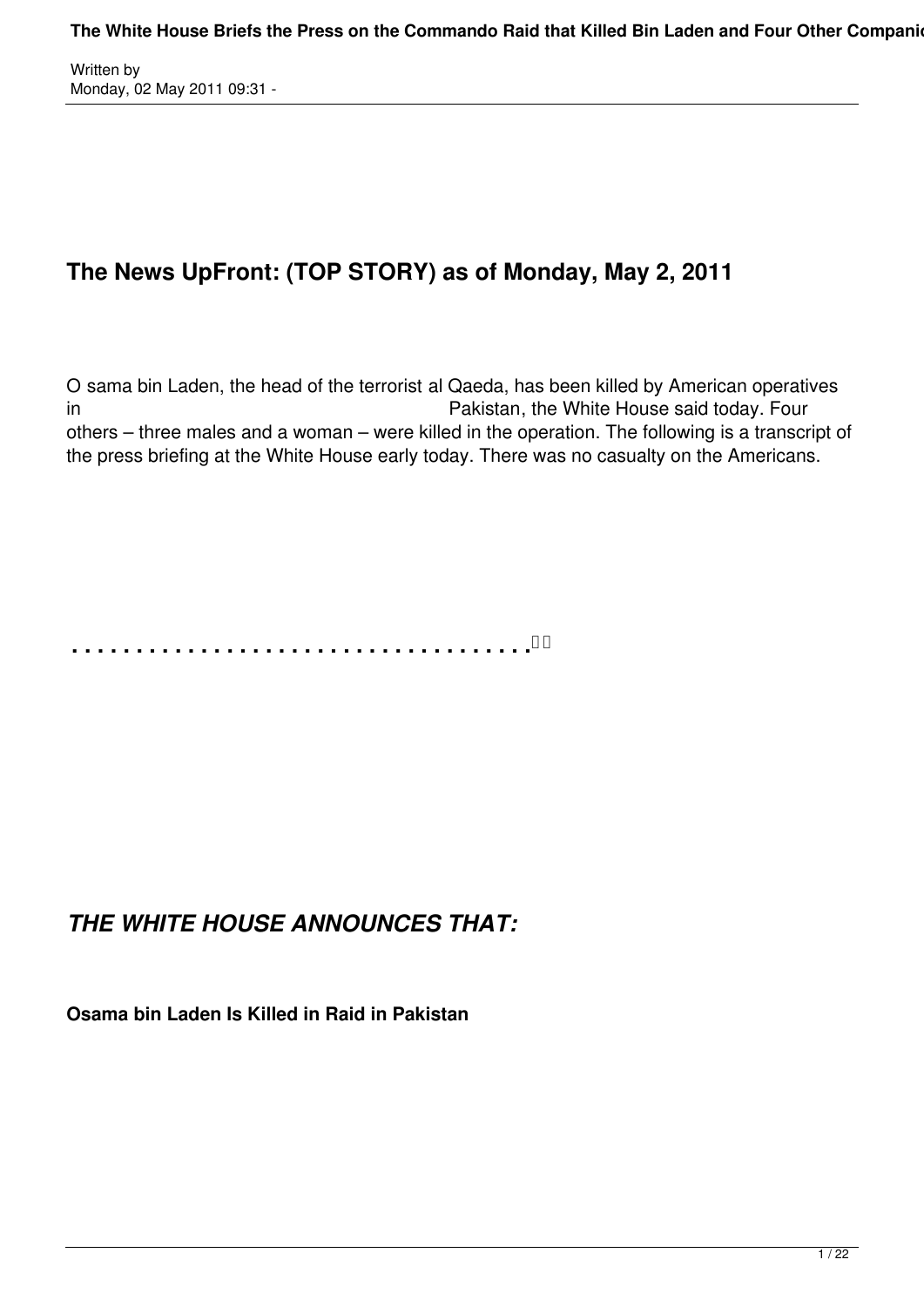# **The News UpFront: (TOP STORY) as of Monday, May 2, 2011**

O sama bin Laden, the head of the terrorist al Qaeda, has been killed by American operatives in Pakistan, the White House said today. Four others – three males and a woman – were killed in the operation. The following is a transcript of the press briefing at the White House early today. There was no casualty on the Americans.

**. . . . . . . . . . . . . . . . . . . . . . . . . . . . . . . . . . . .** 

## *THE WHITE HOUSE ANNOUNCES THAT:*

**Osama bin Laden Is Killed in Raid in Pakistan**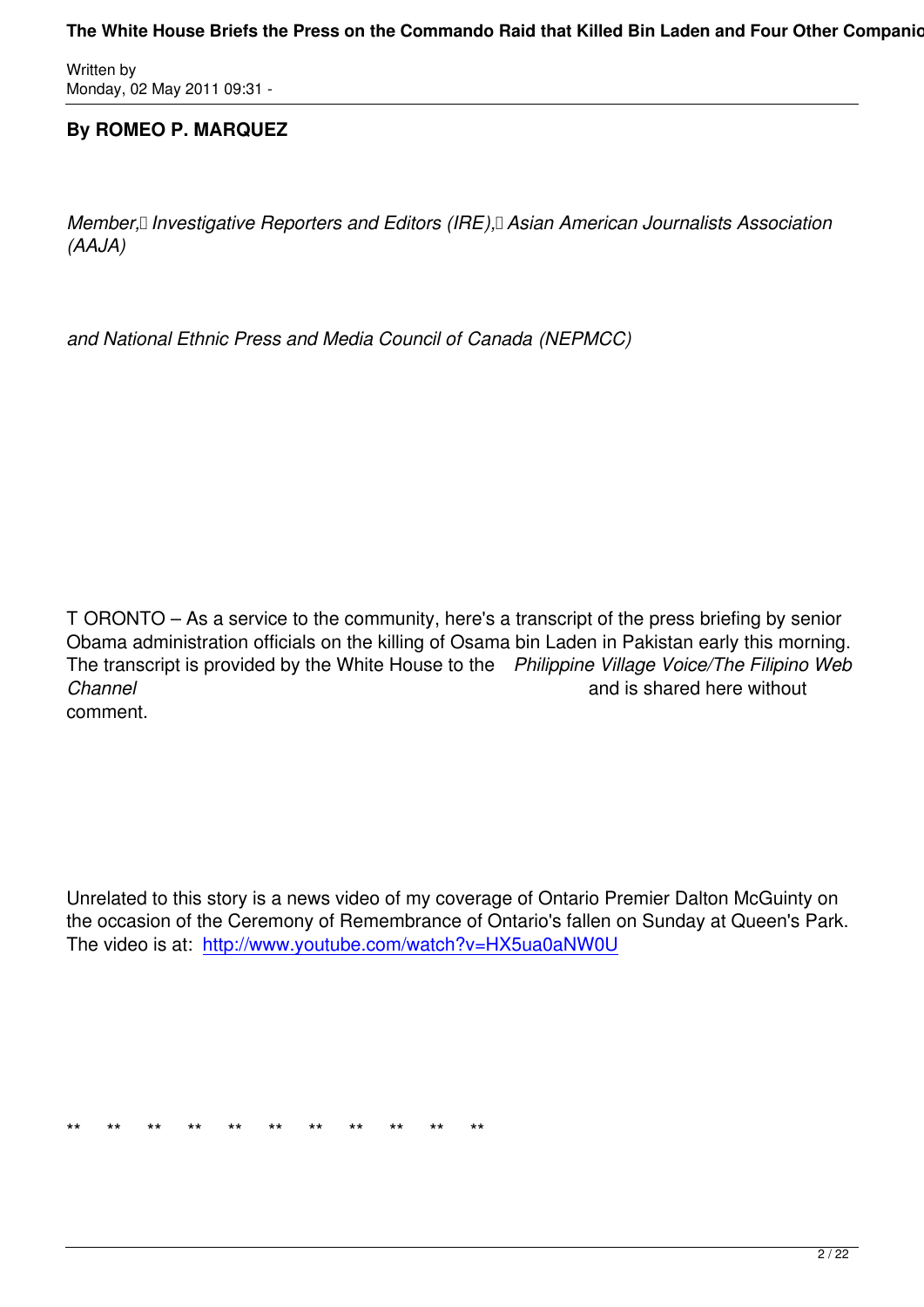## **By ROMEO P. MARQUEZ**

*Member, Investigative Reporters and Editors (IRE), Asian American Journalists Association (AAJA)*

*and National Ethnic Press and Media Council of Canada (NEPMCC)*

T ORONTO – As a service to the community, here's a transcript of the press briefing by senior Obama administration officials on the killing of Osama bin Laden in Pakistan early this morning. The transcript is provided by the White House to the *Philippine Village Voice/The Filipino Web Channel* and is shared here without comment.

Unrelated to this story is a news video of my coverage of Ontario Premier Dalton McGuinty on the occasion of the Ceremony of Remembrance of Ontario's fallen on Sunday at Queen's Park. The video is at: http://www.youtube.com/watch?v=HX5ua0aNW0U

\*\* \*\* \*\* \*\* \*\* \*\* \*\* \*\* \*\* \*\* \*\* \*\*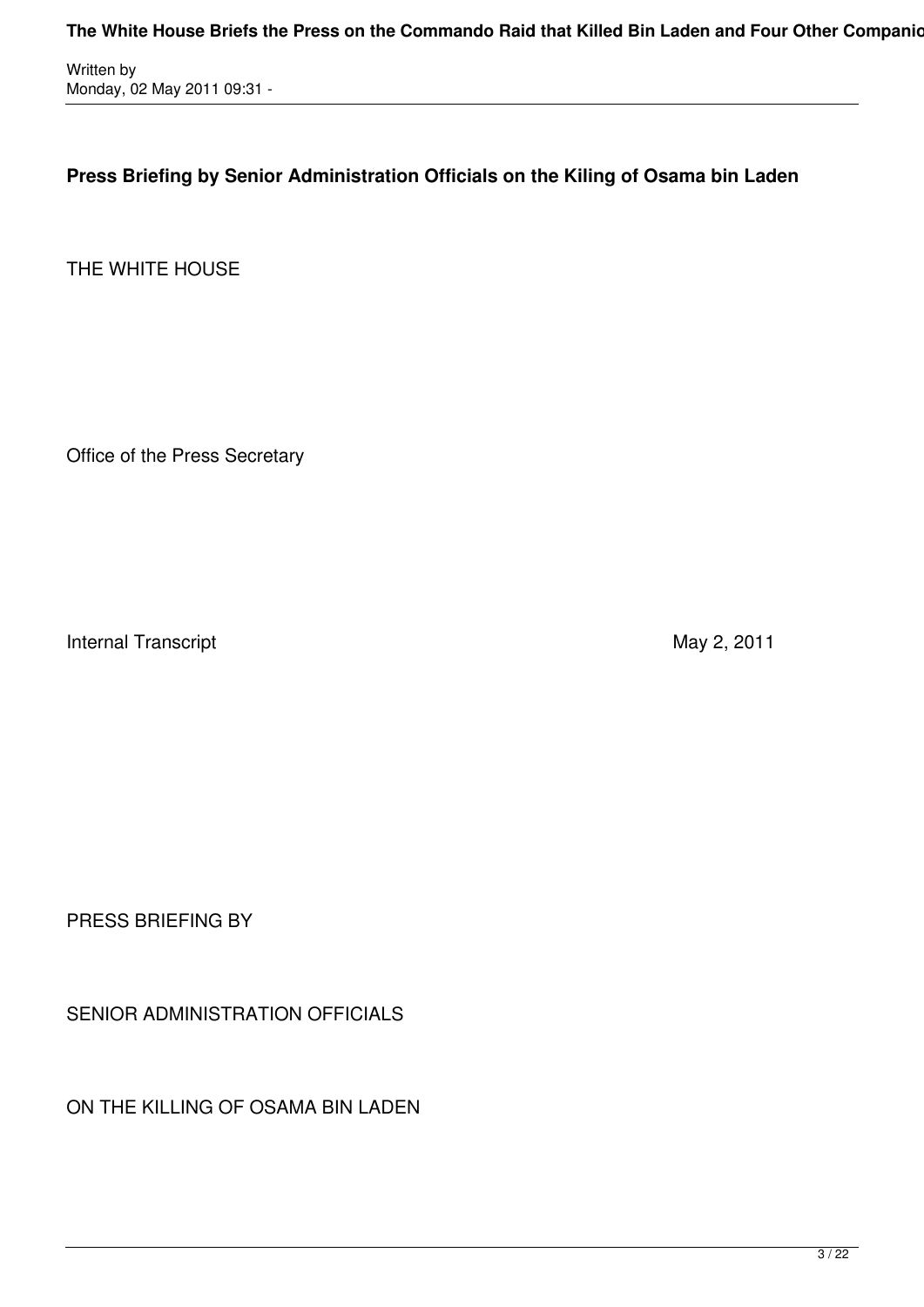**Press Briefing by Senior Administration Officials on the Kiling of Osama bin Laden**

THE WHITE HOUSE

Office of the Press Secretary

Internal Transcript **Internal Transcript 10.11** 

PRESS BRIEFING BY

SENIOR ADMINISTRATION OFFICIALS

ON THE KILLING OF OSAMA BIN LADEN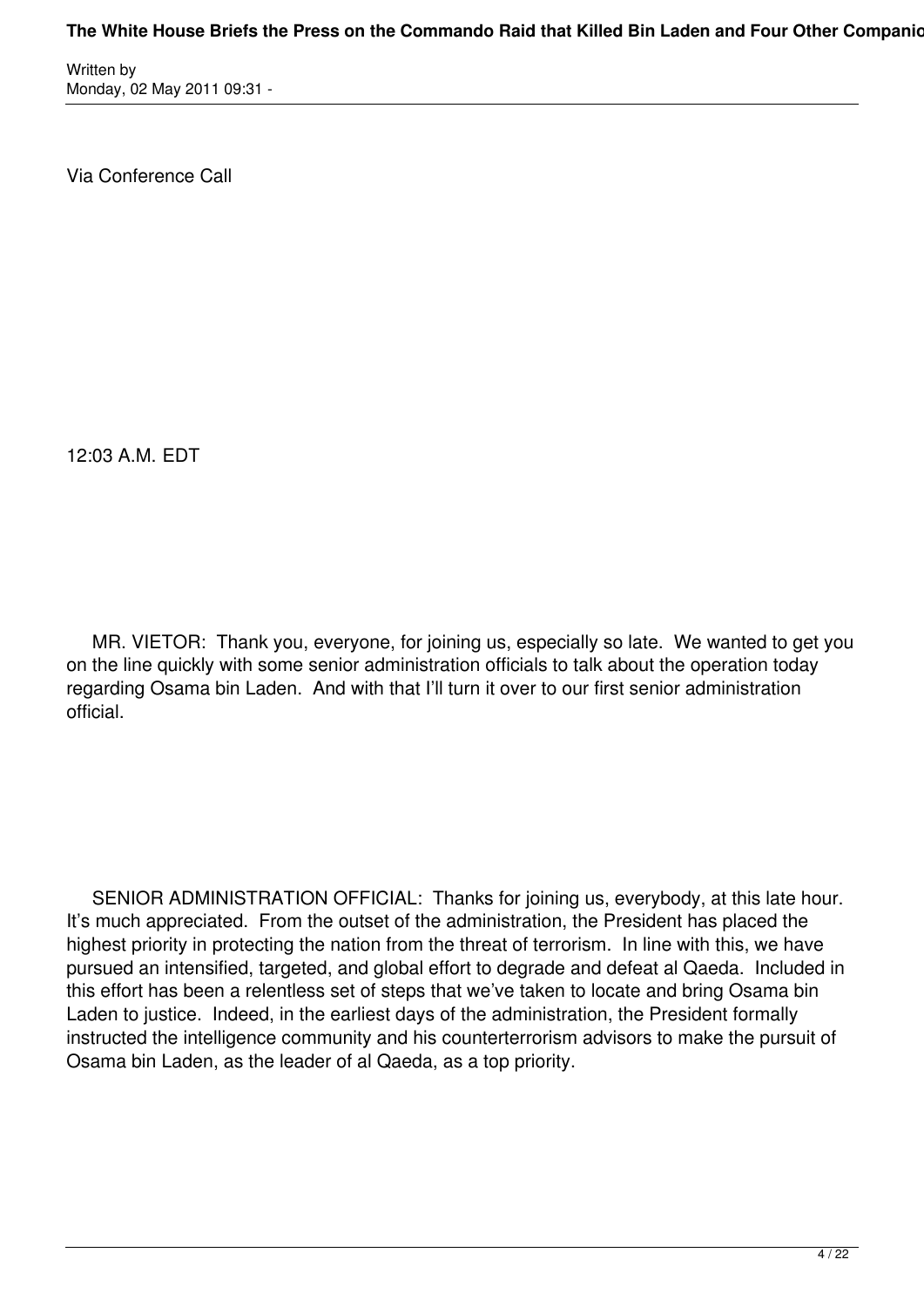Via Conference Call

12:03 A.M. EDT

 MR. VIETOR: Thank you, everyone, for joining us, especially so late. We wanted to get you on the line quickly with some senior administration officials to talk about the operation today regarding Osama bin Laden. And with that I'll turn it over to our first senior administration official.

 SENIOR ADMINISTRATION OFFICIAL: Thanks for joining us, everybody, at this late hour. It's much appreciated. From the outset of the administration, the President has placed the highest priority in protecting the nation from the threat of terrorism. In line with this, we have pursued an intensified, targeted, and global effort to degrade and defeat al Qaeda. Included in this effort has been a relentless set of steps that we've taken to locate and bring Osama bin Laden to justice. Indeed, in the earliest days of the administration, the President formally instructed the intelligence community and his counterterrorism advisors to make the pursuit of Osama bin Laden, as the leader of al Qaeda, as a top priority.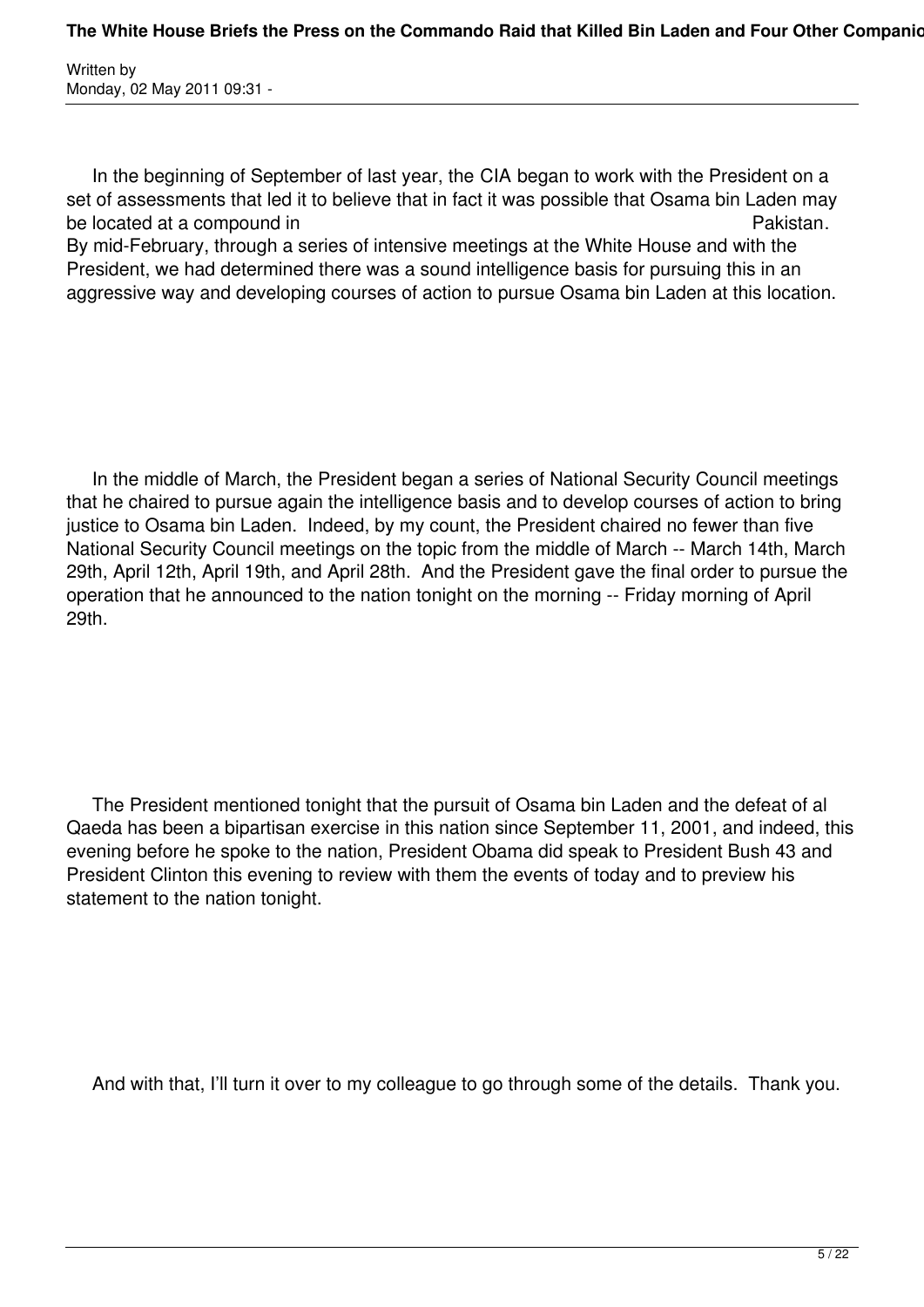In the beginning of September of last year, the CIA began to work with the President on a set of assessments that led it to believe that in fact it was possible that Osama bin Laden may be located at a compound in **Pakistan.** 

By mid-February, through a series of intensive meetings at the White House and with the President, we had determined there was a sound intelligence basis for pursuing this in an aggressive way and developing courses of action to pursue Osama bin Laden at this location.

 In the middle of March, the President began a series of National Security Council meetings that he chaired to pursue again the intelligence basis and to develop courses of action to bring justice to Osama bin Laden. Indeed, by my count, the President chaired no fewer than five National Security Council meetings on the topic from the middle of March -- March 14th, March 29th, April 12th, April 19th, and April 28th. And the President gave the final order to pursue the operation that he announced to the nation tonight on the morning -- Friday morning of April 29th.

 The President mentioned tonight that the pursuit of Osama bin Laden and the defeat of al Qaeda has been a bipartisan exercise in this nation since September 11, 2001, and indeed, this evening before he spoke to the nation, President Obama did speak to President Bush 43 and President Clinton this evening to review with them the events of today and to preview his statement to the nation tonight.

And with that, I'll turn it over to my colleague to go through some of the details. Thank you.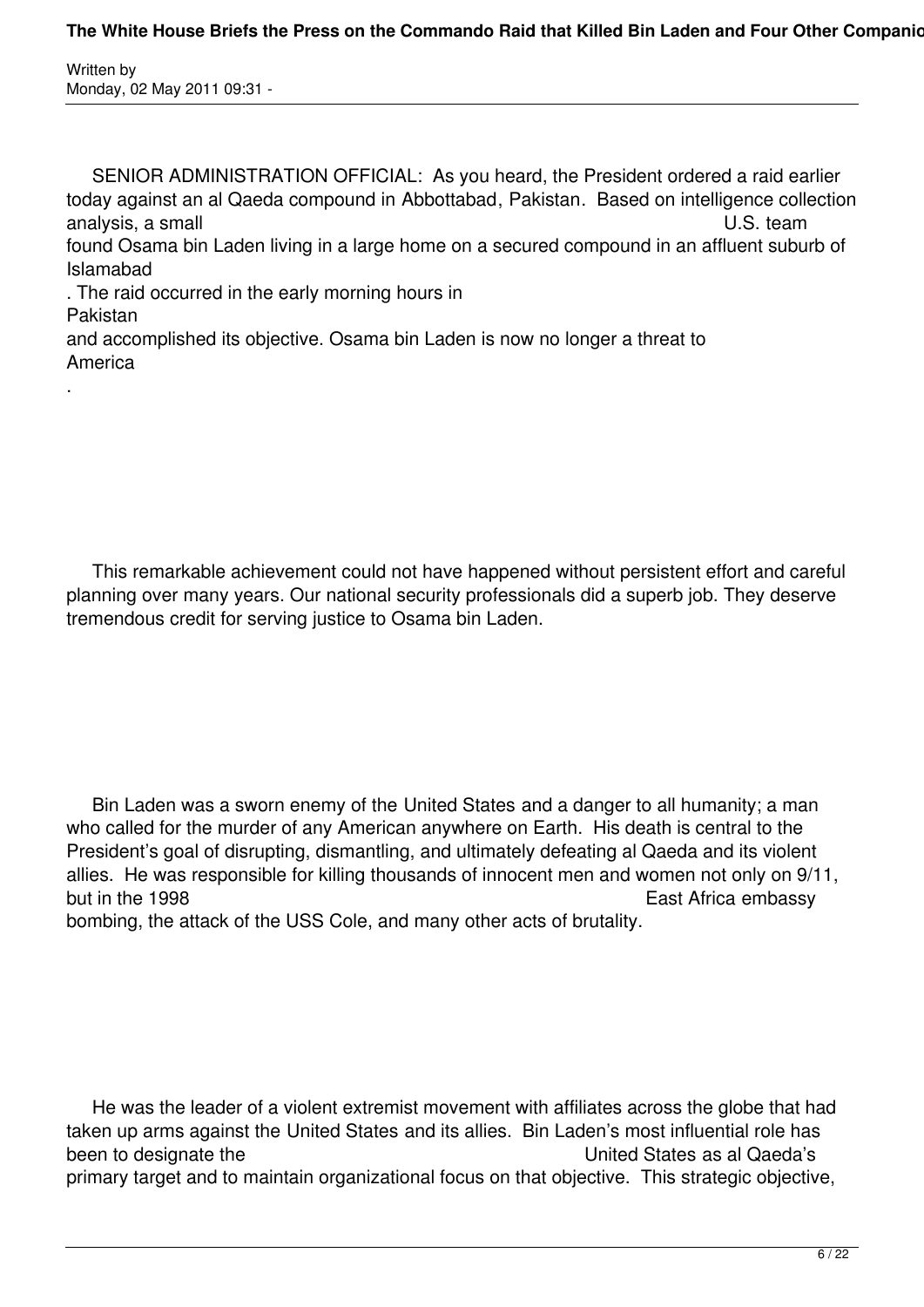America

.

 SENIOR ADMINISTRATION OFFICIAL: As you heard, the President ordered a raid earlier today against an al Qaeda compound in Abbottabad, Pakistan. Based on intelligence collection analysis, a small U.S. team found Osama bin Laden living in a large home on a secured compound in an affluent suburb of Islamabad . The raid occurred in the early morning hours in Pakistan and accomplished its objective. Osama bin Laden is now no longer a threat to

 This remarkable achievement could not have happened without persistent effort and careful planning over many years. Our national security professionals did a superb job. They deserve tremendous credit for serving justice to Osama bin Laden.

 Bin Laden was a sworn enemy of the United States and a danger to all humanity; a man who called for the murder of any American anywhere on Earth. His death is central to the President's goal of disrupting, dismantling, and ultimately defeating al Qaeda and its violent allies. He was responsible for killing thousands of innocent men and women not only on 9/11, but in the 1998 **East Africa** embassy bombing, the attack of the USS Cole, and many other acts of brutality.

 He was the leader of a violent extremist movement with affiliates across the globe that had taken up arms against the United States and its allies. Bin Laden's most influential role has been to designate the **United States as al Qaeda's** primary target and to maintain organizational focus on that objective. This strategic objective,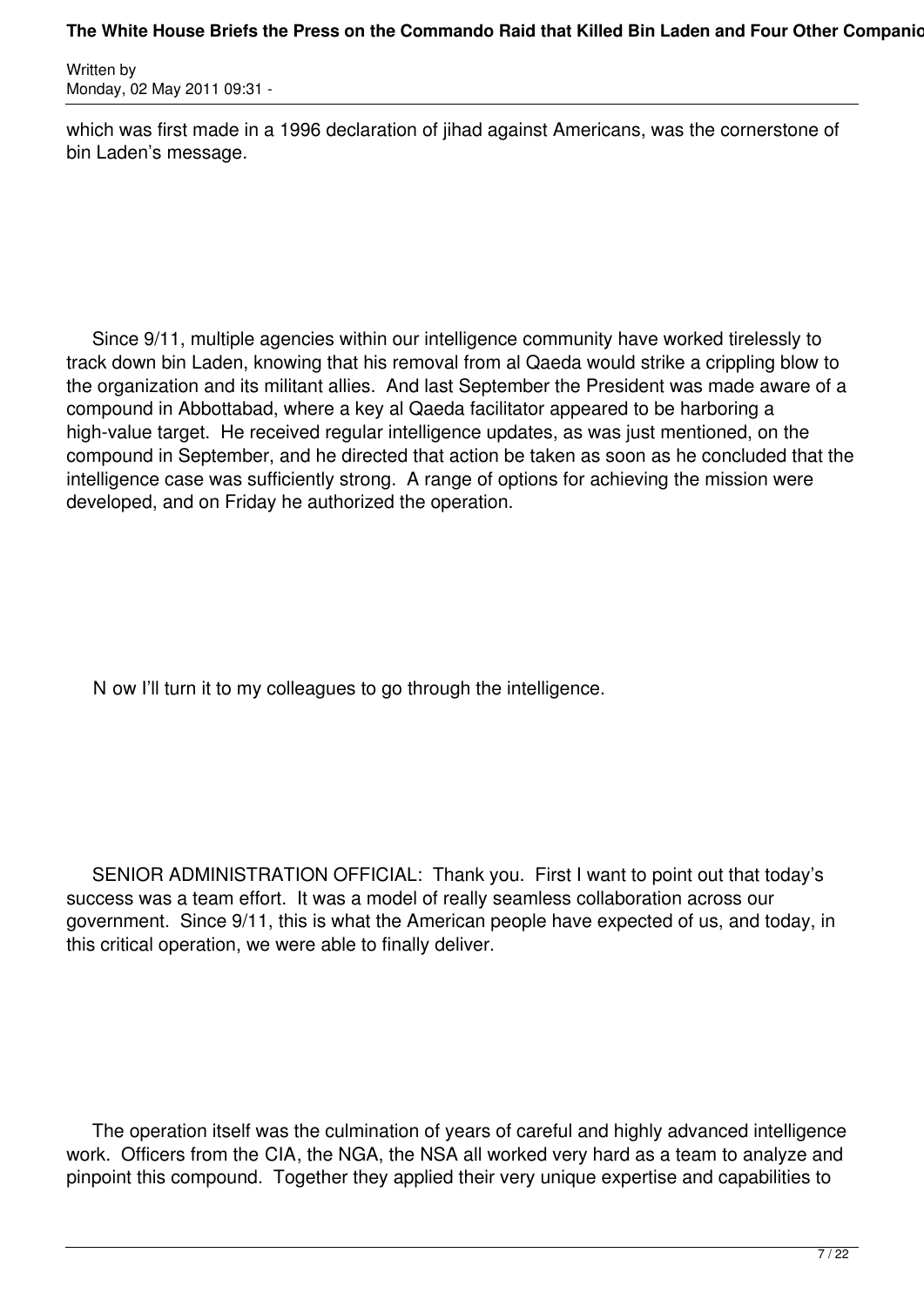which was first made in a 1996 declaration of jihad against Americans, was the cornerstone of bin Laden's message.

 Since 9/11, multiple agencies within our intelligence community have worked tirelessly to track down bin Laden, knowing that his removal from al Qaeda would strike a crippling blow to the organization and its militant allies. And last September the President was made aware of a compound in Abbottabad, where a key al Qaeda facilitator appeared to be harboring a high-value target. He received regular intelligence updates, as was just mentioned, on the compound in September, and he directed that action be taken as soon as he concluded that the intelligence case was sufficiently strong. A range of options for achieving the mission were developed, and on Friday he authorized the operation.

N ow I'll turn it to my colleagues to go through the intelligence.

 SENIOR ADMINISTRATION OFFICIAL: Thank you. First I want to point out that today's success was a team effort. It was a model of really seamless collaboration across our government. Since 9/11, this is what the American people have expected of us, and today, in this critical operation, we were able to finally deliver.

 The operation itself was the culmination of years of careful and highly advanced intelligence work. Officers from the CIA, the NGA, the NSA all worked very hard as a team to analyze and pinpoint this compound. Together they applied their very unique expertise and capabilities to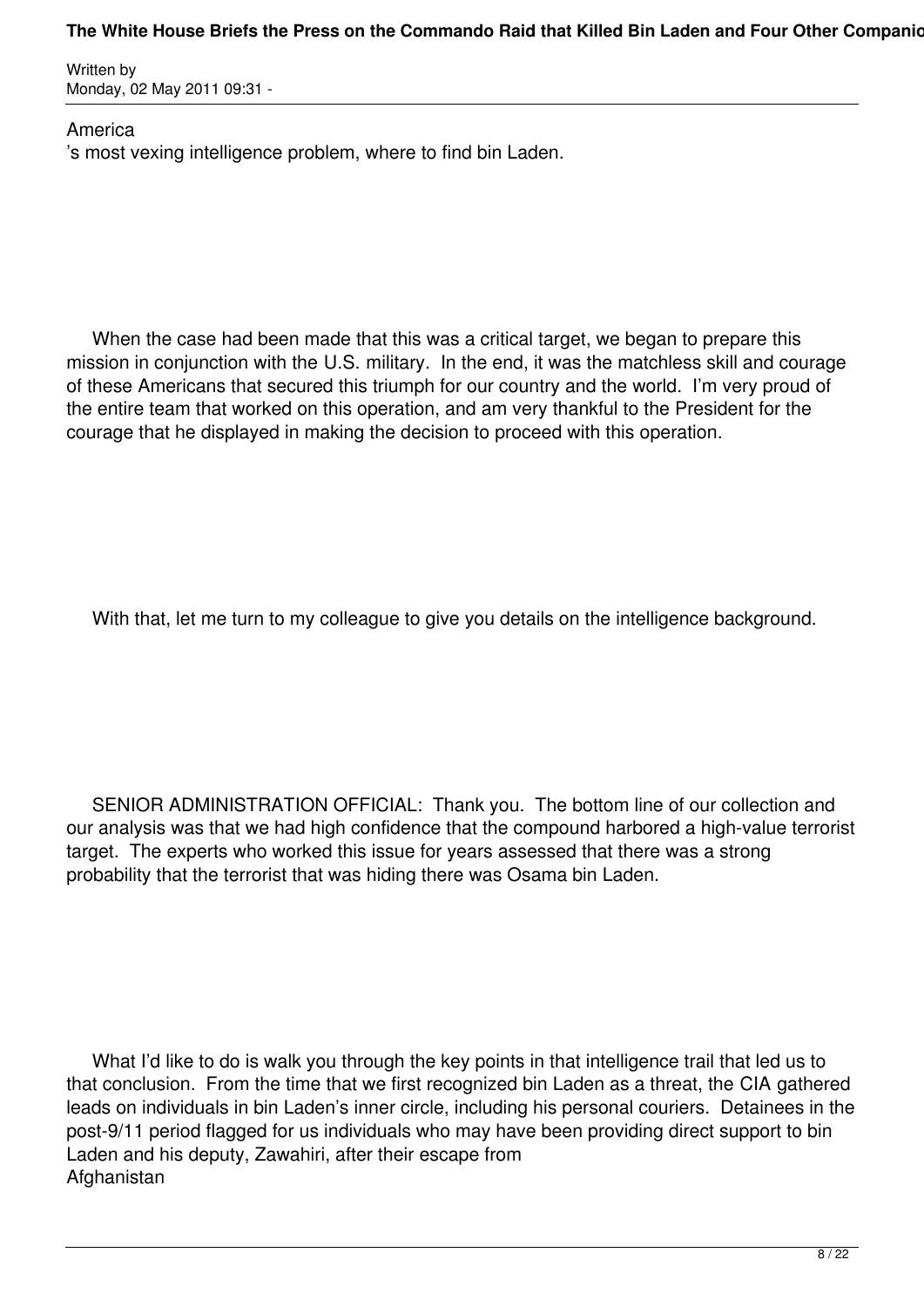#### The White House Briefs the Press on the Commando Raid that Killed Bin Laden and Four Other Companio

Written by Monday, 02 May 2011 09:31 -

America 's most vexing intelligence problem, where to find bin Laden.

 When the case had been made that this was a critical target, we began to prepare this mission in conjunction with the U.S. military. In the end, it was the matchless skill and courage of these Americans that secured this triumph for our country and the world. I'm very proud of the entire team that worked on this operation, and am very thankful to the President for the courage that he displayed in making the decision to proceed with this operation.

With that, let me turn to my colleague to give you details on the intelligence background.

 SENIOR ADMINISTRATION OFFICIAL: Thank you. The bottom line of our collection and our analysis was that we had high confidence that the compound harbored a high-value terrorist target. The experts who worked this issue for years assessed that there was a strong probability that the terrorist that was hiding there was Osama bin Laden.

 What I'd like to do is walk you through the key points in that intelligence trail that led us to that conclusion. From the time that we first recognized bin Laden as a threat, the CIA gathered leads on individuals in bin Laden's inner circle, including his personal couriers. Detainees in the post-9/11 period flagged for us individuals who may have been providing direct support to bin Laden and his deputy, Zawahiri, after their escape from Afghanistan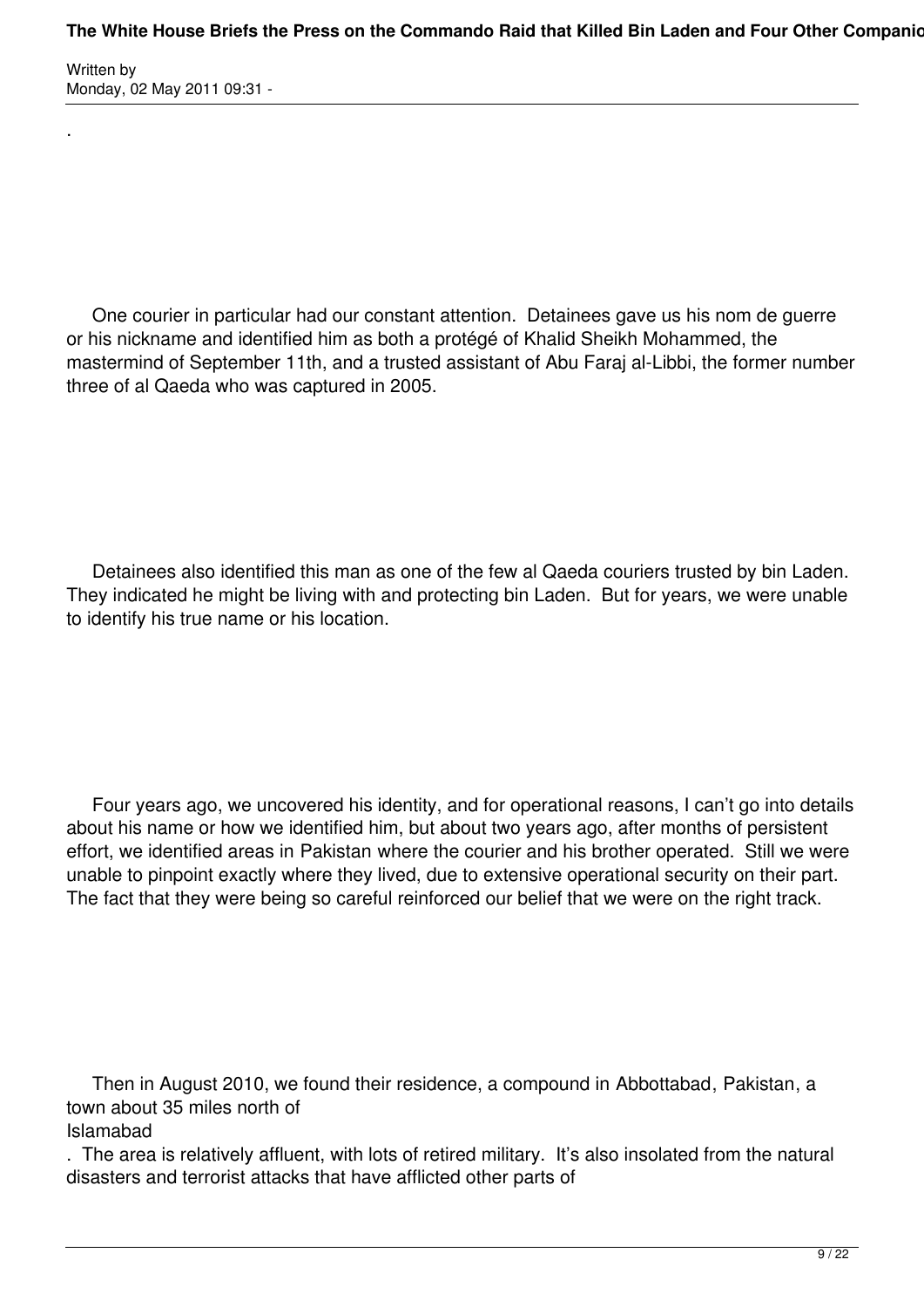.

 One courier in particular had our constant attention. Detainees gave us his nom de guerre or his nickname and identified him as both a protégé of Khalid Sheikh Mohammed, the mastermind of September 11th, and a trusted assistant of Abu Faraj al-Libbi, the former number three of al Qaeda who was captured in 2005.

 Detainees also identified this man as one of the few al Qaeda couriers trusted by bin Laden. They indicated he might be living with and protecting bin Laden. But for years, we were unable to identify his true name or his location.

 Four years ago, we uncovered his identity, and for operational reasons, I can't go into details about his name or how we identified him, but about two years ago, after months of persistent effort, we identified areas in Pakistan where the courier and his brother operated. Still we were unable to pinpoint exactly where they lived, due to extensive operational security on their part. The fact that they were being so careful reinforced our belief that we were on the right track.

 Then in August 2010, we found their residence, a compound in Abbottabad, Pakistan, a town about 35 miles north of Islamabad

. The area is relatively affluent, with lots of retired military. It's also insolated from the natural disasters and terrorist attacks that have afflicted other parts of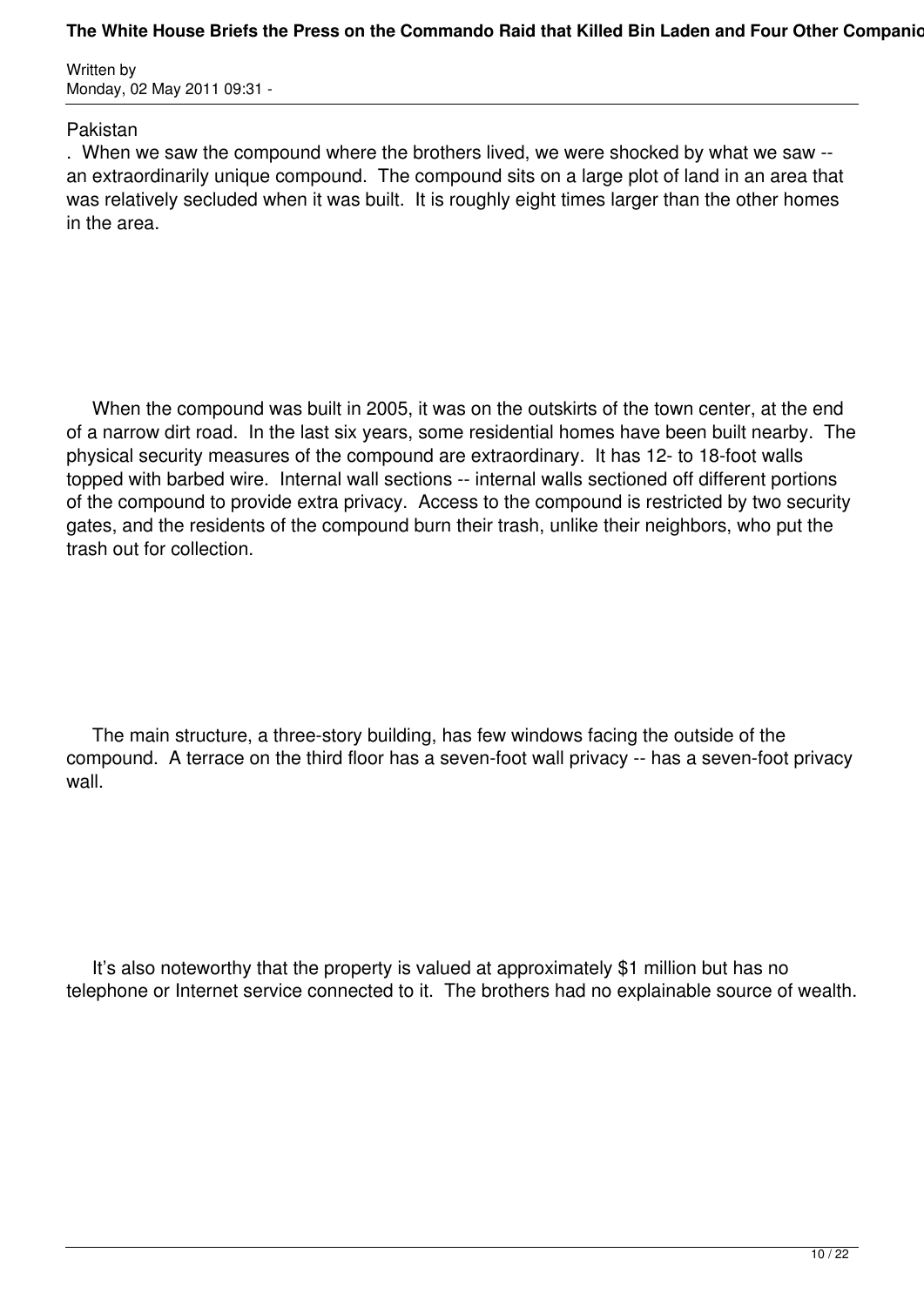#### The White House Briefs the Press on the Commando Raid that Killed Bin Laden and Four Other Companion

Written by Monday, 02 May 2011 09:31 -

#### Pakistan

. When we saw the compound where the brothers lived, we were shocked by what we saw - an extraordinarily unique compound. The compound sits on a large plot of land in an area that was relatively secluded when it was built. It is roughly eight times larger than the other homes in the area.

 When the compound was built in 2005, it was on the outskirts of the town center, at the end of a narrow dirt road. In the last six years, some residential homes have been built nearby. The physical security measures of the compound are extraordinary. It has 12- to 18-foot walls topped with barbed wire. Internal wall sections -- internal walls sectioned off different portions of the compound to provide extra privacy. Access to the compound is restricted by two security gates, and the residents of the compound burn their trash, unlike their neighbors, who put the trash out for collection.

 The main structure, a three-story building, has few windows facing the outside of the compound. A terrace on the third floor has a seven-foot wall privacy -- has a seven-foot privacy wall.

 It's also noteworthy that the property is valued at approximately \$1 million but has no telephone or Internet service connected to it. The brothers had no explainable source of wealth.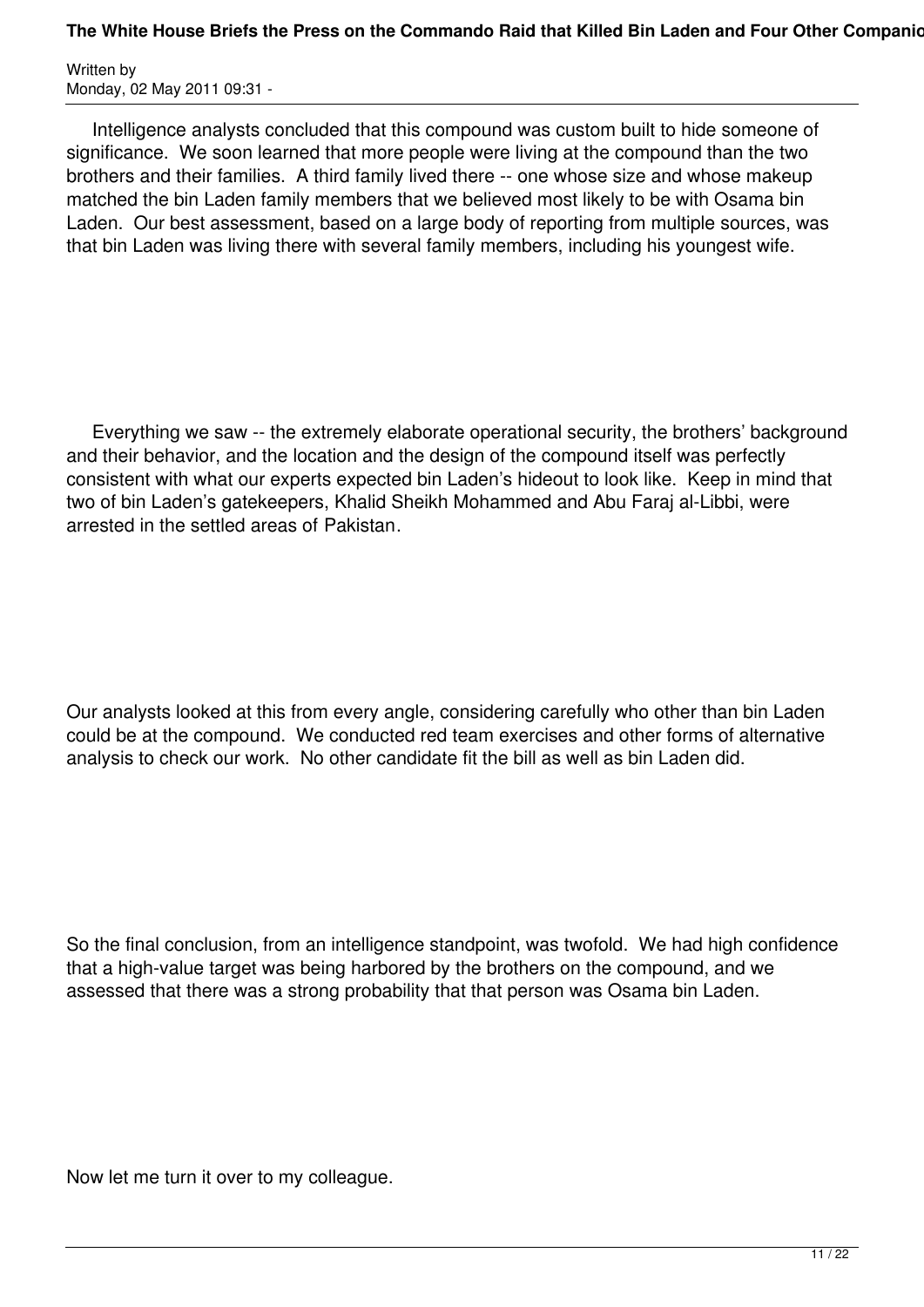Intelligence analysts concluded that this compound was custom built to hide someone of significance. We soon learned that more people were living at the compound than the two brothers and their families. A third family lived there -- one whose size and whose makeup matched the bin Laden family members that we believed most likely to be with Osama bin Laden. Our best assessment, based on a large body of reporting from multiple sources, was that bin Laden was living there with several family members, including his youngest wife.

 Everything we saw -- the extremely elaborate operational security, the brothers' background and their behavior, and the location and the design of the compound itself was perfectly consistent with what our experts expected bin Laden's hideout to look like. Keep in mind that two of bin Laden's gatekeepers, Khalid Sheikh Mohammed and Abu Faraj al-Libbi, were arrested in the settled areas of Pakistan.

Our analysts looked at this from every angle, considering carefully who other than bin Laden could be at the compound. We conducted red team exercises and other forms of alternative analysis to check our work. No other candidate fit the bill as well as bin Laden did.

So the final conclusion, from an intelligence standpoint, was twofold. We had high confidence that a high-value target was being harbored by the brothers on the compound, and we assessed that there was a strong probability that that person was Osama bin Laden.

Now let me turn it over to my colleague.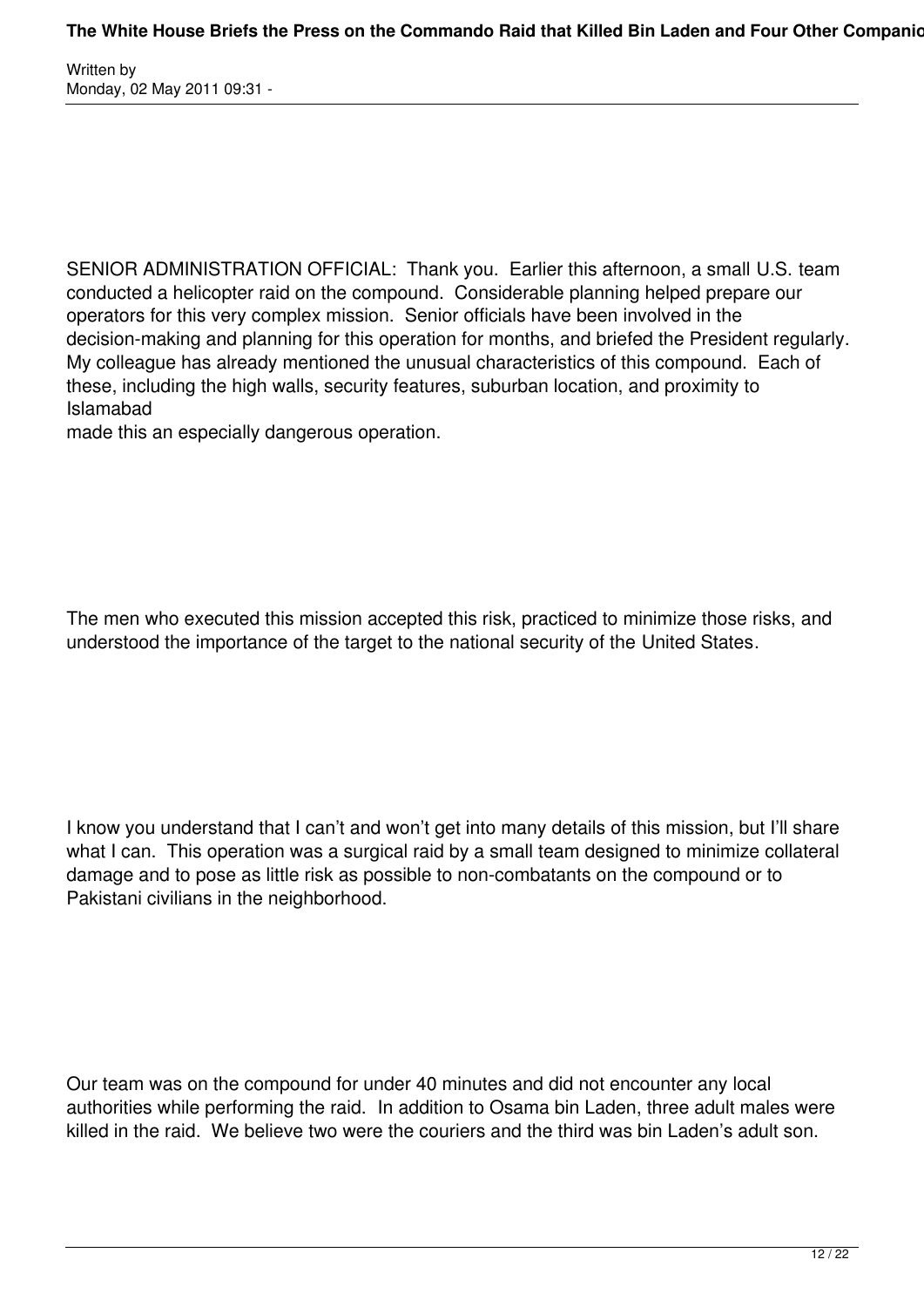SENIOR ADMINISTRATION OFFICIAL: Thank you. Earlier this afternoon, a small U.S. team conducted a helicopter raid on the compound. Considerable planning helped prepare our operators for this very complex mission. Senior officials have been involved in the decision-making and planning for this operation for months, and briefed the President regularly. My colleague has already mentioned the unusual characteristics of this compound. Each of these, including the high walls, security features, suburban location, and proximity to Islamabad

made this an especially dangerous operation.

The men who executed this mission accepted this risk, practiced to minimize those risks, and understood the importance of the target to the national security of the United States.

I know you understand that I can't and won't get into many details of this mission, but I'll share what I can. This operation was a surgical raid by a small team designed to minimize collateral damage and to pose as little risk as possible to non-combatants on the compound or to Pakistani civilians in the neighborhood.

Our team was on the compound for under 40 minutes and did not encounter any local authorities while performing the raid. In addition to Osama bin Laden, three adult males were killed in the raid. We believe two were the couriers and the third was bin Laden's adult son.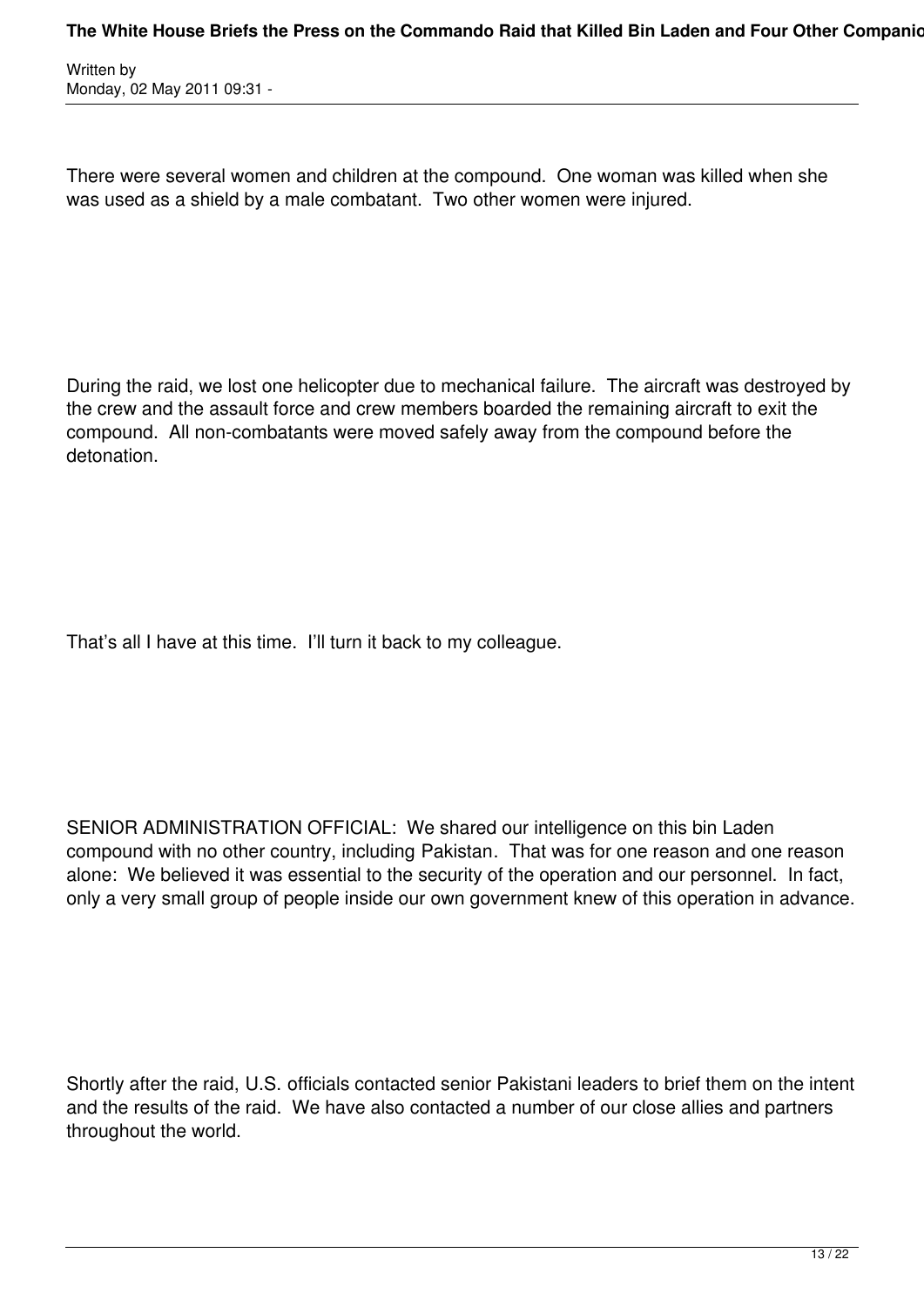There were several women and children at the compound. One woman was killed when she was used as a shield by a male combatant. Two other women were injured.

During the raid, we lost one helicopter due to mechanical failure. The aircraft was destroyed by the crew and the assault force and crew members boarded the remaining aircraft to exit the compound. All non-combatants were moved safely away from the compound before the detonation.

That's all I have at this time. I'll turn it back to my colleague.

SENIOR ADMINISTRATION OFFICIAL: We shared our intelligence on this bin Laden compound with no other country, including Pakistan. That was for one reason and one reason alone: We believed it was essential to the security of the operation and our personnel. In fact, only a very small group of people inside our own government knew of this operation in advance.

Shortly after the raid, U.S. officials contacted senior Pakistani leaders to brief them on the intent and the results of the raid. We have also contacted a number of our close allies and partners throughout the world.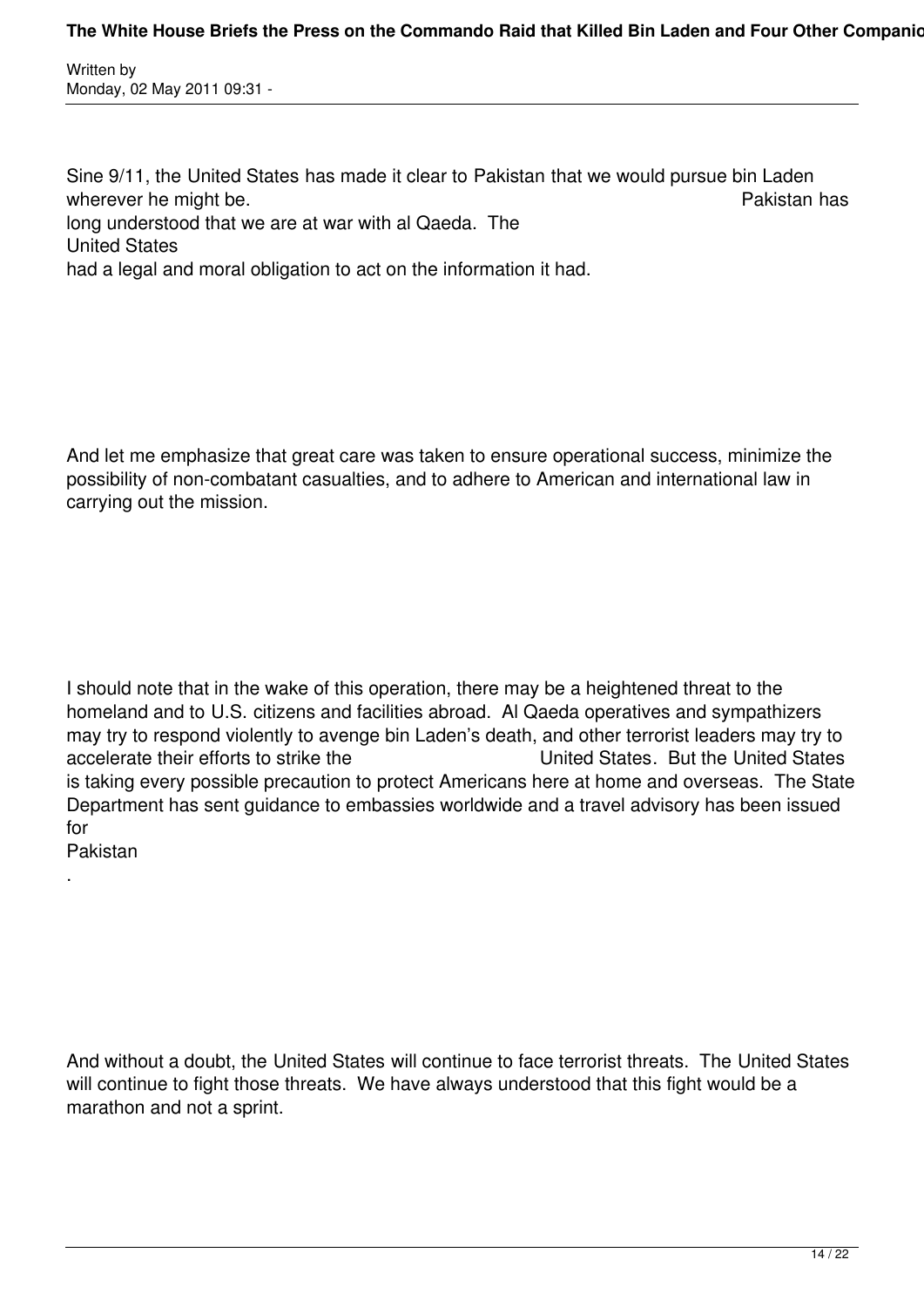Sine 9/11, the United States has made it clear to Pakistan that we would pursue bin Laden wherever he might be. **Pakistan has Pakistan has** long understood that we are at war with al Qaeda. The United States had a legal and moral obligation to act on the information it had.

And let me emphasize that great care was taken to ensure operational success, minimize the possibility of non-combatant casualties, and to adhere to American and international law in carrying out the mission.

I should note that in the wake of this operation, there may be a heightened threat to the homeland and to U.S. citizens and facilities abroad. Al Qaeda operatives and sympathizers may try to respond violently to avenge bin Laden's death, and other terrorist leaders may try to accelerate their efforts to strike the United States. But the United States is taking every possible precaution to protect Americans here at home and overseas. The State Department has sent guidance to embassies worldwide and a travel advisory has been issued for

Pakistan

.

And without a doubt, the United States will continue to face terrorist threats. The United States will continue to fight those threats. We have always understood that this fight would be a marathon and not a sprint.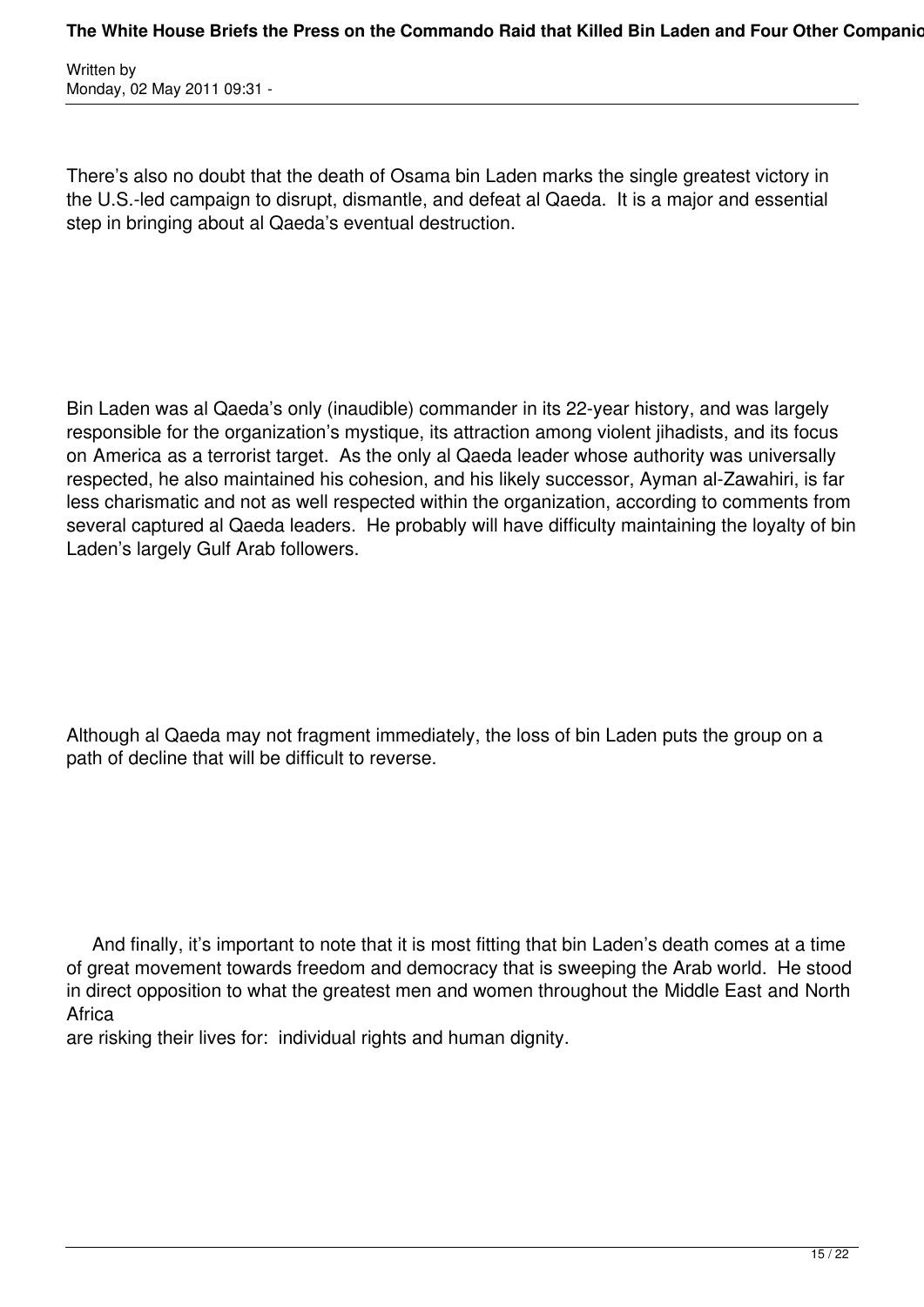There's also no doubt that the death of Osama bin Laden marks the single greatest victory in the U.S.-led campaign to disrupt, dismantle, and defeat al Qaeda. It is a major and essential step in bringing about al Qaeda's eventual destruction.

Bin Laden was al Qaeda's only (inaudible) commander in its 22-year history, and was largely responsible for the organization's mystique, its attraction among violent jihadists, and its focus on America as a terrorist target. As the only al Qaeda leader whose authority was universally respected, he also maintained his cohesion, and his likely successor, Ayman al-Zawahiri, is far less charismatic and not as well respected within the organization, according to comments from several captured al Qaeda leaders. He probably will have difficulty maintaining the loyalty of bin Laden's largely Gulf Arab followers.

Although al Qaeda may not fragment immediately, the loss of bin Laden puts the group on a path of decline that will be difficult to reverse.

 And finally, it's important to note that it is most fitting that bin Laden's death comes at a time of great movement towards freedom and democracy that is sweeping the Arab world. He stood in direct opposition to what the greatest men and women throughout the Middle East and North **Africa** 

are risking their lives for: individual rights and human dignity.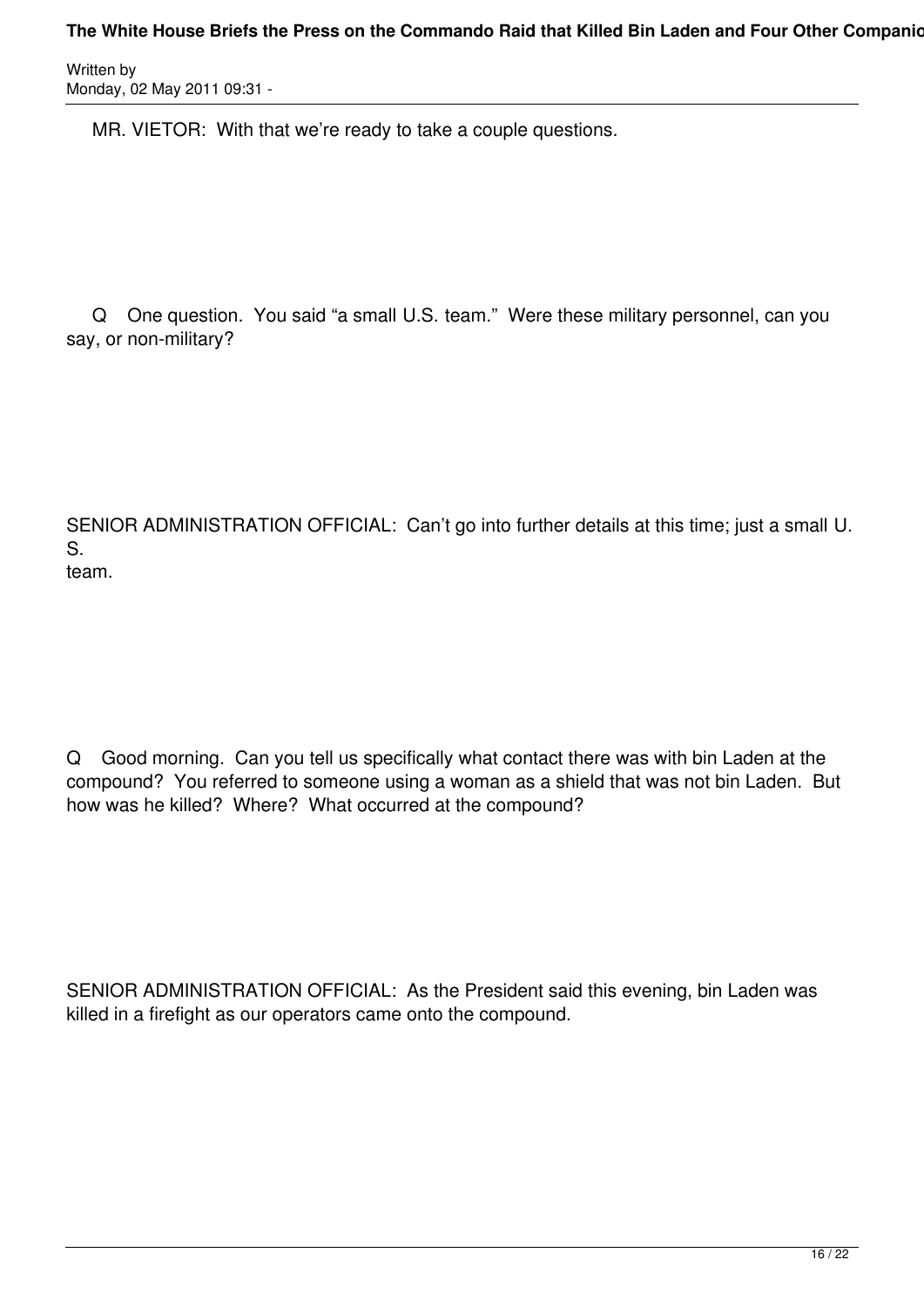MR. VIETOR: With that we're ready to take a couple questions.

 Q One question. You said "a small U.S. team." Were these military personnel, can you say, or non-military?

SENIOR ADMINISTRATION OFFICIAL: Can't go into further details at this time; just a small U. S. team.

Q Good morning. Can you tell us specifically what contact there was with bin Laden at the compound? You referred to someone using a woman as a shield that was not bin Laden. But how was he killed? Where? What occurred at the compound?

SENIOR ADMINISTRATION OFFICIAL: As the President said this evening, bin Laden was killed in a firefight as our operators came onto the compound.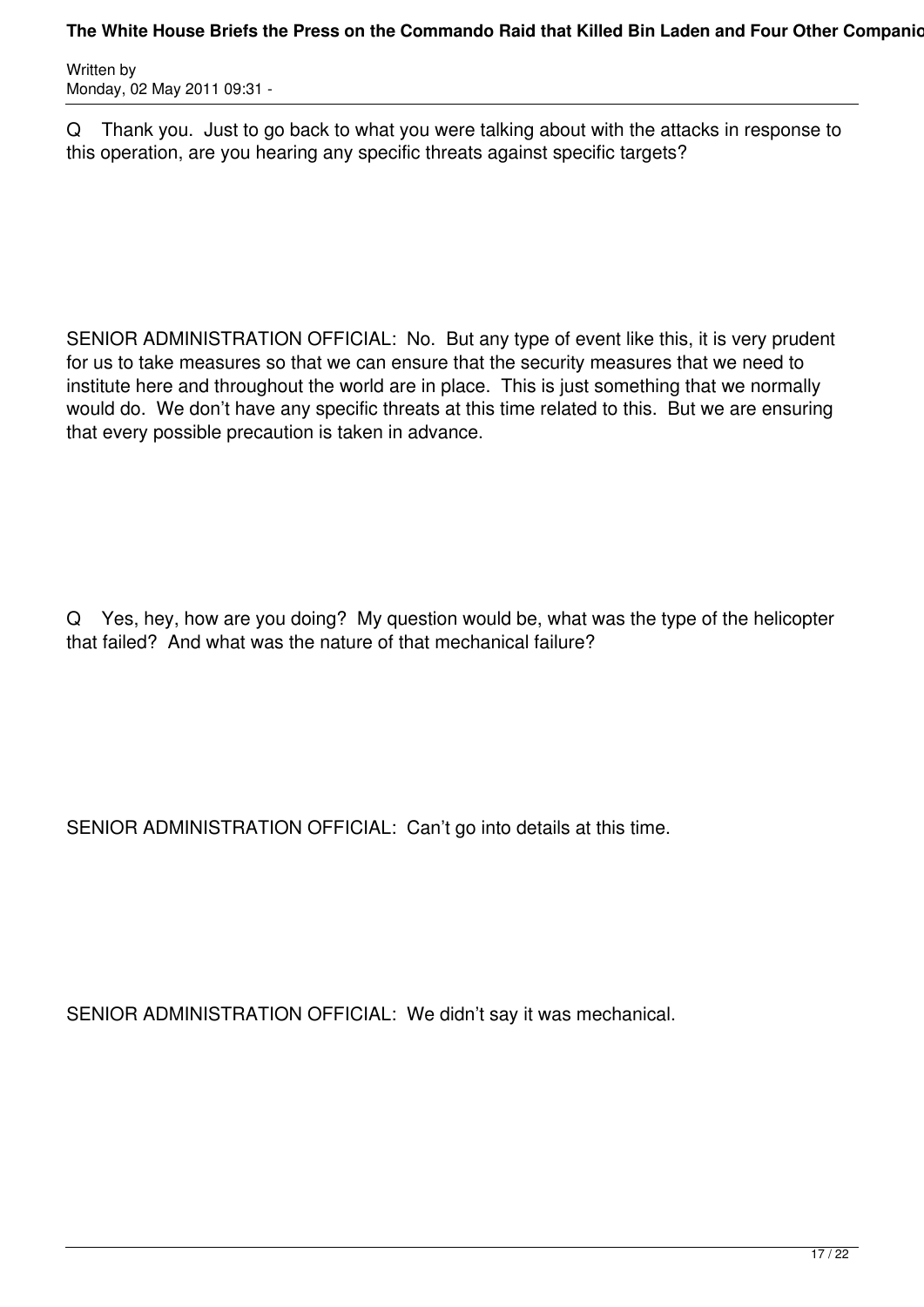Q Thank you. Just to go back to what you were talking about with the attacks in response to this operation, are you hearing any specific threats against specific targets?

SENIOR ADMINISTRATION OFFICIAL: No. But any type of event like this, it is very prudent for us to take measures so that we can ensure that the security measures that we need to institute here and throughout the world are in place. This is just something that we normally would do. We don't have any specific threats at this time related to this. But we are ensuring that every possible precaution is taken in advance.

Q Yes, hey, how are you doing? My question would be, what was the type of the helicopter that failed? And what was the nature of that mechanical failure?

SENIOR ADMINISTRATION OFFICIAL: Can't go into details at this time.

SENIOR ADMINISTRATION OFFICIAL: We didn't say it was mechanical.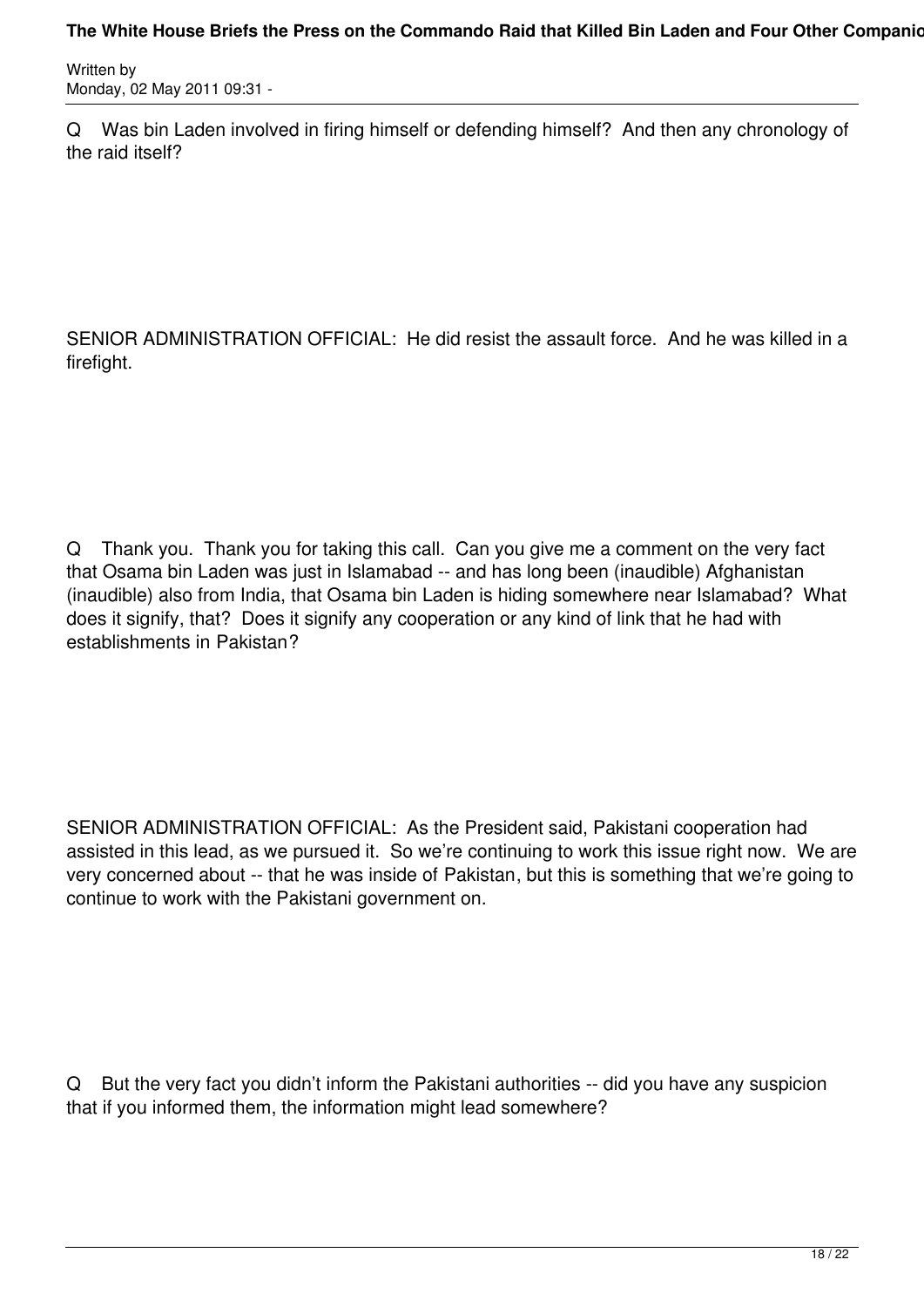#### The White House Briefs the Press on the Commando Raid that Killed Bin Laden and Four Other Companion

Written by Monday, 02 May 2011 09:31 -

Q Was bin Laden involved in firing himself or defending himself? And then any chronology of the raid itself?

SENIOR ADMINISTRATION OFFICIAL: He did resist the assault force. And he was killed in a firefight.

Q Thank you. Thank you for taking this call. Can you give me a comment on the very fact that Osama bin Laden was just in Islamabad -- and has long been (inaudible) Afghanistan (inaudible) also from India, that Osama bin Laden is hiding somewhere near Islamabad? What does it signify, that? Does it signify any cooperation or any kind of link that he had with establishments in Pakistan?

SENIOR ADMINISTRATION OFFICIAL: As the President said, Pakistani cooperation had assisted in this lead, as we pursued it. So we're continuing to work this issue right now. We are very concerned about -- that he was inside of Pakistan, but this is something that we're going to continue to work with the Pakistani government on.

Q But the very fact you didn't inform the Pakistani authorities -- did you have any suspicion that if you informed them, the information might lead somewhere?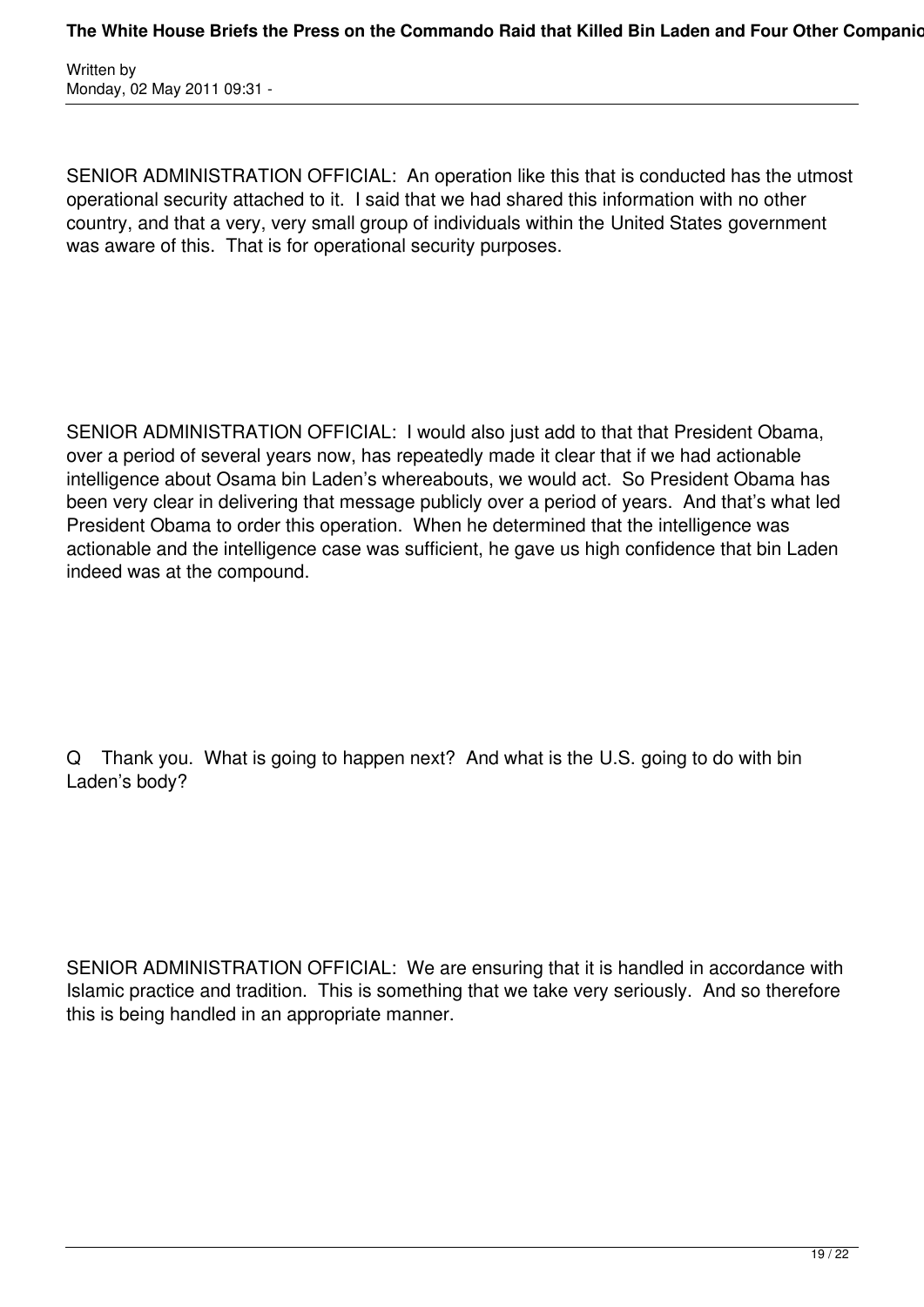SENIOR ADMINISTRATION OFFICIAL: An operation like this that is conducted has the utmost operational security attached to it. I said that we had shared this information with no other country, and that a very, very small group of individuals within the United States government was aware of this. That is for operational security purposes.

SENIOR ADMINISTRATION OFFICIAL: I would also just add to that that President Obama, over a period of several years now, has repeatedly made it clear that if we had actionable intelligence about Osama bin Laden's whereabouts, we would act. So President Obama has been very clear in delivering that message publicly over a period of years. And that's what led President Obama to order this operation. When he determined that the intelligence was actionable and the intelligence case was sufficient, he gave us high confidence that bin Laden indeed was at the compound.

Q Thank you. What is going to happen next? And what is the U.S. going to do with bin Laden's body?

SENIOR ADMINISTRATION OFFICIAL: We are ensuring that it is handled in accordance with Islamic practice and tradition. This is something that we take very seriously. And so therefore this is being handled in an appropriate manner.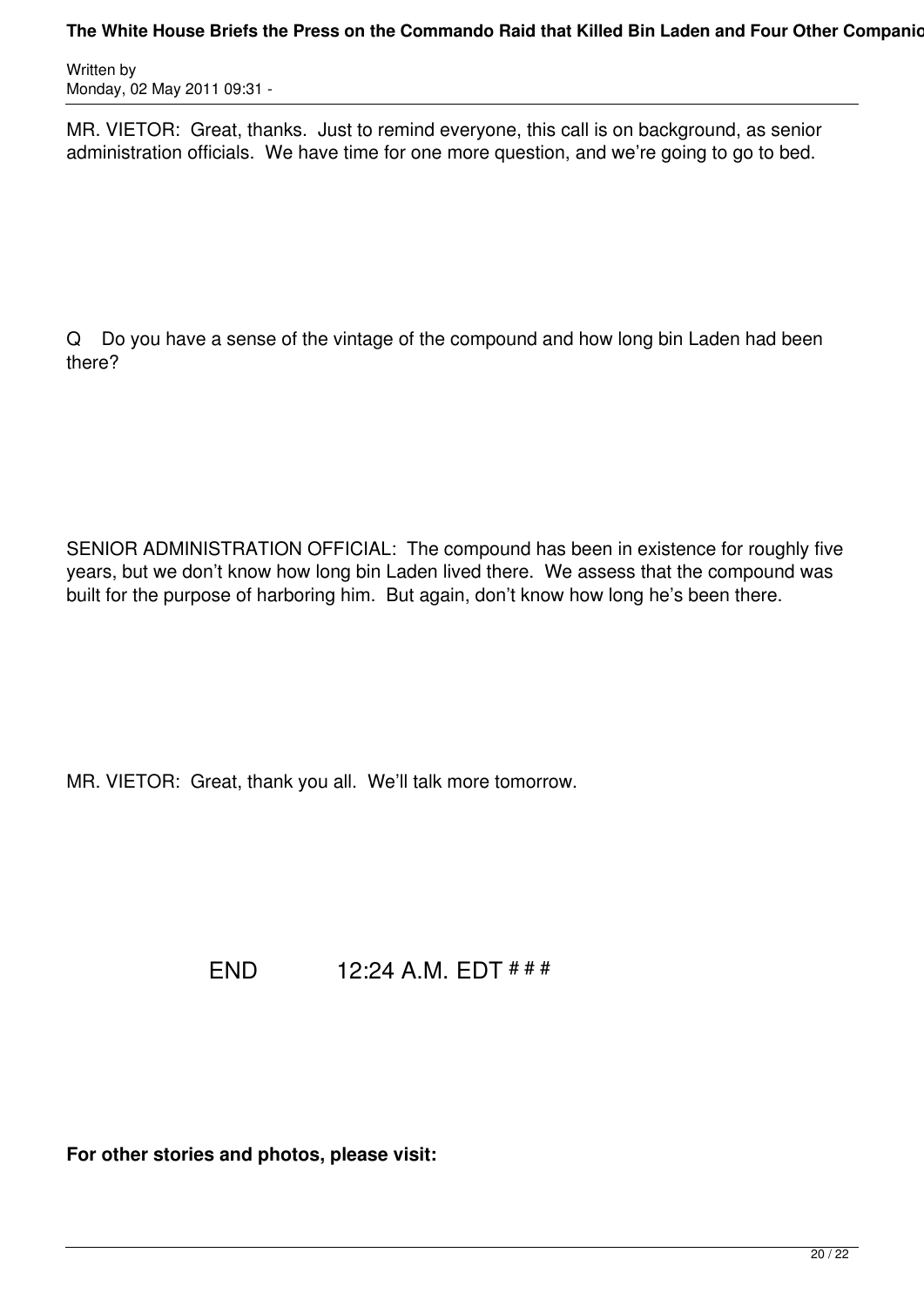MR. VIETOR: Great, thanks. Just to remind everyone, this call is on background, as senior administration officials. We have time for one more question, and we're going to go to bed.

Q Do you have a sense of the vintage of the compound and how long bin Laden had been there?

SENIOR ADMINISTRATION OFFICIAL: The compound has been in existence for roughly five years, but we don't know how long bin Laden lived there. We assess that the compound was built for the purpose of harboring him. But again, don't know how long he's been there.

MR. VIETOR: Great, thank you all. We'll talk more tomorrow.

END 12:24 A.M. EDT # # #

**For other stories and photos, please visit:**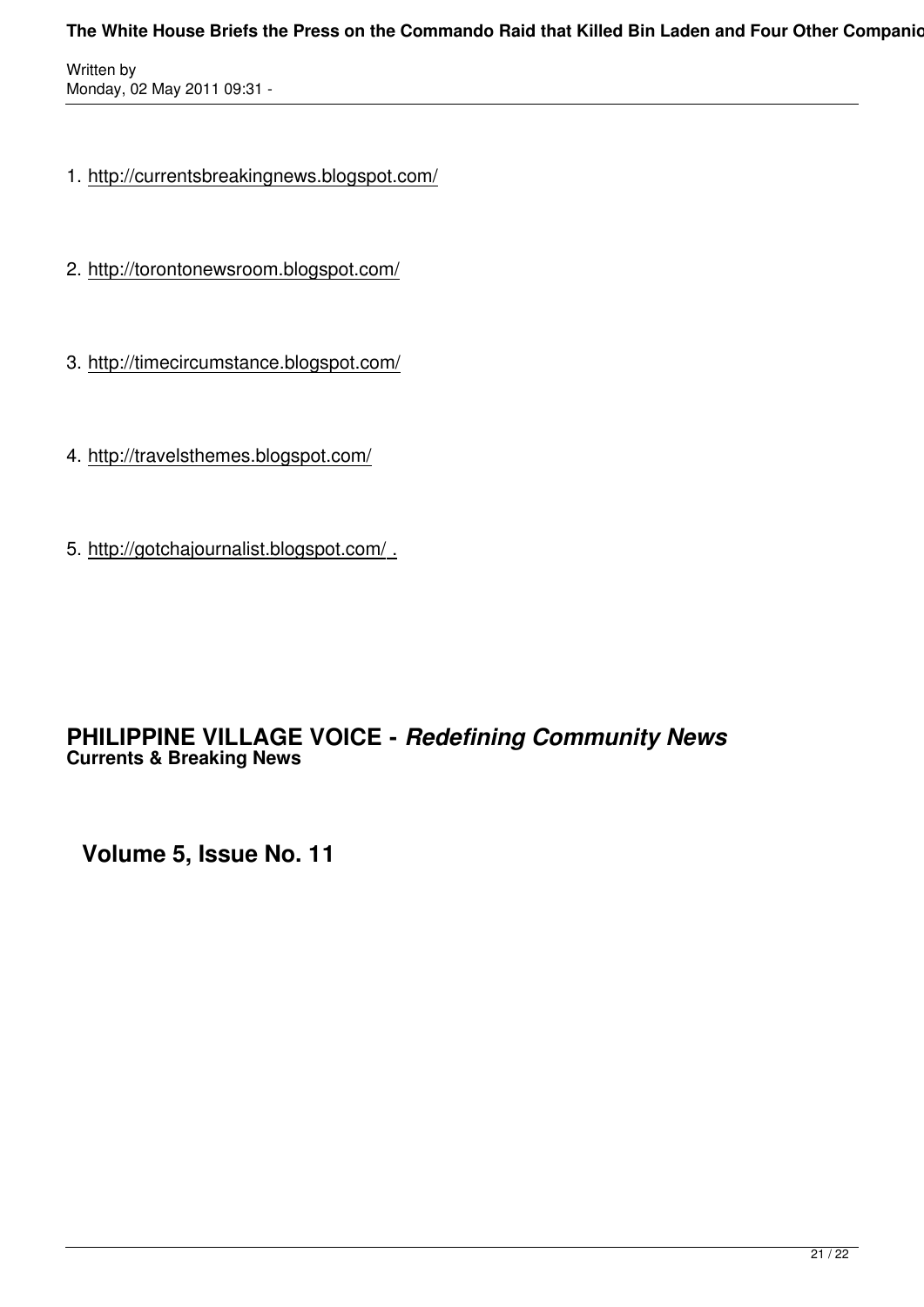#### The White House Briefs the Press on the Commando Raid that Killed Bin Laden and Four Other Companion

Written by Monday, 02 May 2011 09:31 -

- 1. http://currentsbreakingnews.blogspot.com/
- 2. http://torontonewsroom.blogspot.com/
- 3. http://timecircumstance.blogspot.com/
- 4. http://travelsthemes.blogspot.com/
- 5. http://gotchajournalist.blogspot.com/ .

## **PHILIPPINE VILLAGE VOICE -** *Redefining Community News* **Currents & Breaking News**

**Volume 5, Issue No. 11**